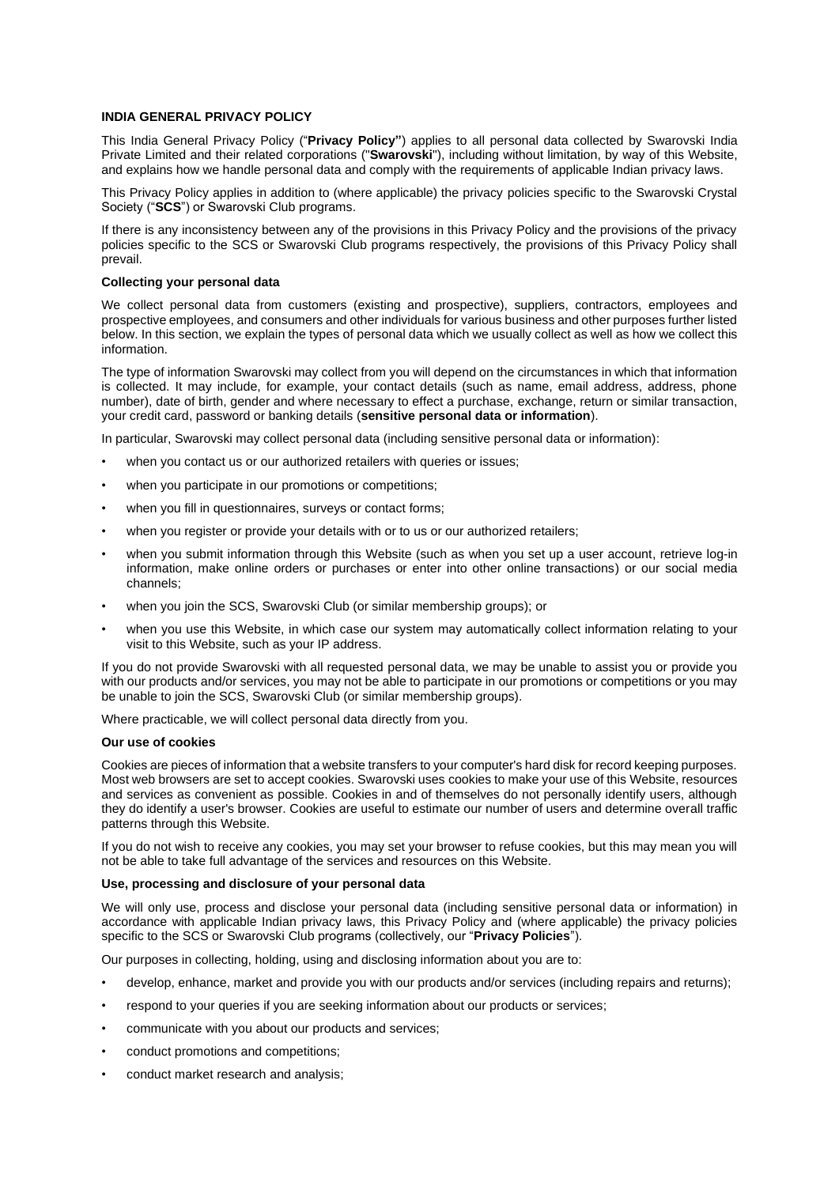# **INDIA GENERAL PRIVACY POLICY**

This India General Privacy Policy ("**Privacy Policy"**) applies to all personal data collected by Swarovski India Private Limited and their related corporations ("**Swarovski**"), including without limitation, by way of this Website, and explains how we handle personal data and comply with the requirements of applicable Indian privacy laws.

This Privacy Policy applies in addition to (where applicable) the privacy policies specific to the Swarovski Crystal Society ("**SCS**") or Swarovski Club programs.

If there is any inconsistency between any of the provisions in this Privacy Policy and the provisions of the privacy policies specific to the SCS or Swarovski Club programs respectively, the provisions of this Privacy Policy shall prevail.

### **Collecting your personal data**

We collect personal data from customers (existing and prospective), suppliers, contractors, employees and prospective employees, and consumers and other individuals for various business and other purposes further listed below. In this section, we explain the types of personal data which we usually collect as well as how we collect this information.

The type of information Swarovski may collect from you will depend on the circumstances in which that information is collected. It may include, for example, your contact details (such as name, email address, address, phone number), date of birth, gender and where necessary to effect a purchase, exchange, return or similar transaction, your credit card, password or banking details (**sensitive personal data or information**).

In particular, Swarovski may collect personal data (including sensitive personal data or information):

- when you contact us or our authorized retailers with queries or issues;
- when you participate in our promotions or competitions;
- when you fill in questionnaires, surveys or contact forms;
- when you register or provide your details with or to us or our authorized retailers;
- when you submit information through this Website (such as when you set up a user account, retrieve log-in information, make online orders or purchases or enter into other online transactions) or our social media channels;
- when you join the SCS, Swarovski Club (or similar membership groups); or
- when you use this Website, in which case our system may automatically collect information relating to your visit to this Website, such as your IP address.

If you do not provide Swarovski with all requested personal data, we may be unable to assist you or provide you with our products and/or services, you may not be able to participate in our promotions or competitions or you may be unable to join the SCS, Swarovski Club (or similar membership groups).

Where practicable, we will collect personal data directly from you.

### **Our use of cookies**

Cookies are pieces of information that a website transfers to your computer's hard disk for record keeping purposes. Most web browsers are set to accept cookies. Swarovski uses cookies to make your use of this Website, resources and services as convenient as possible. Cookies in and of themselves do not personally identify users, although they do identify a user's browser. Cookies are useful to estimate our number of users and determine overall traffic patterns through this Website.

If you do not wish to receive any cookies, you may set your browser to refuse cookies, but this may mean you will not be able to take full advantage of the services and resources on this Website.

### **Use, processing and disclosure of your personal data**

We will only use, process and disclose your personal data (including sensitive personal data or information) in accordance with applicable Indian privacy laws, this Privacy Policy and (where applicable) the privacy policies specific to the SCS or Swarovski Club programs (collectively, our "**Privacy Policies**").

Our purposes in collecting, holding, using and disclosing information about you are to:

- develop, enhance, market and provide you with our products and/or services (including repairs and returns);
- respond to your queries if you are seeking information about our products or services;
- communicate with you about our products and services;
- conduct promotions and competitions;
- conduct market research and analysis;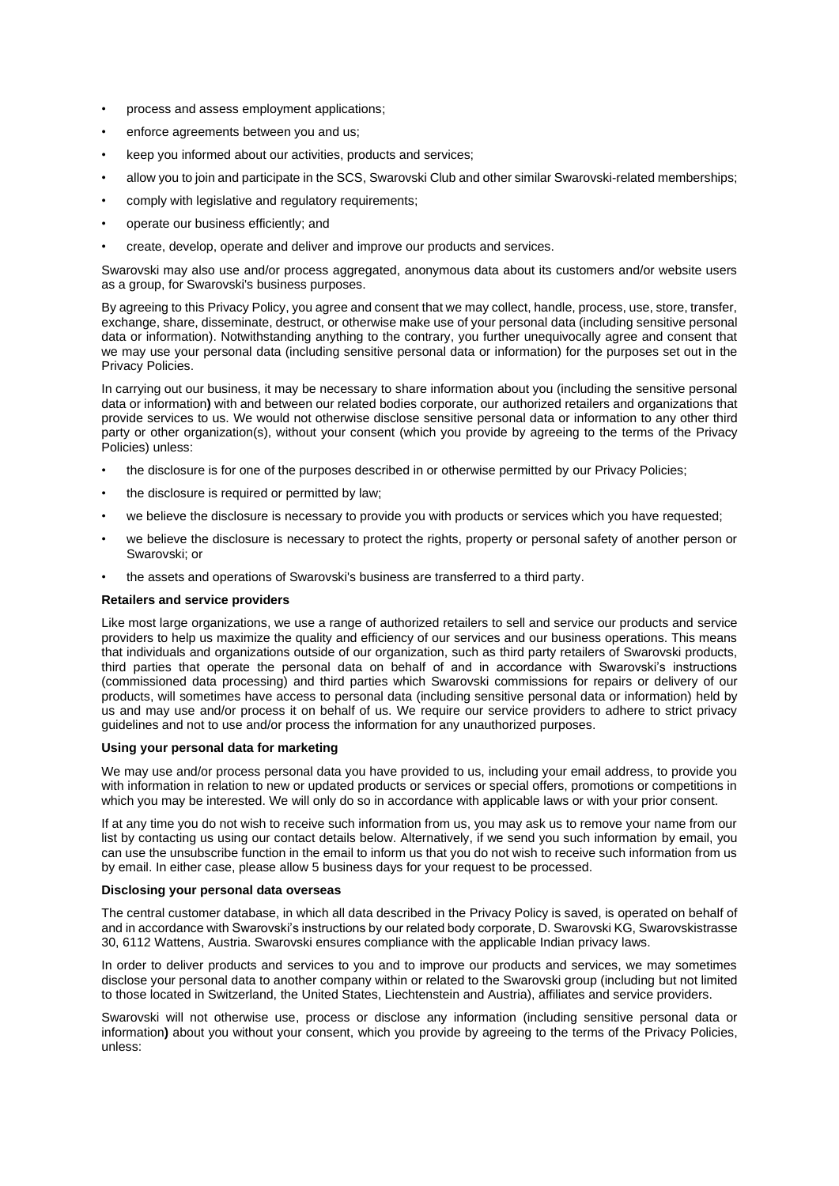- process and assess employment applications;
- enforce agreements between you and us;
- keep you informed about our activities, products and services;
- allow you to join and participate in the SCS, Swarovski Club and other similar Swarovski-related memberships;
- comply with legislative and regulatory requirements;
- operate our business efficiently; and
- create, develop, operate and deliver and improve our products and services.

Swarovski may also use and/or process aggregated, anonymous data about its customers and/or website users as a group, for Swarovski's business purposes.

By agreeing to this Privacy Policy, you agree and consent that we may collect, handle, process, use, store, transfer, exchange, share, disseminate, destruct, or otherwise make use of your personal data (including sensitive personal data or information). Notwithstanding anything to the contrary, you further unequivocally agree and consent that we may use your personal data (including sensitive personal data or information) for the purposes set out in the Privacy Policies.

In carrying out our business, it may be necessary to share information about you (including the sensitive personal data or information**)** with and between our related bodies corporate, our authorized retailers and organizations that provide services to us. We would not otherwise disclose sensitive personal data or information to any other third party or other organization(s), without your consent (which you provide by agreeing to the terms of the Privacy Policies) unless:

- the disclosure is for one of the purposes described in or otherwise permitted by our Privacy Policies;
- the disclosure is required or permitted by law:
- we believe the disclosure is necessary to provide you with products or services which you have requested;
- we believe the disclosure is necessary to protect the rights, property or personal safety of another person or Swarovski; or
- the assets and operations of Swarovski's business are transferred to a third party.

### **Retailers and service providers**

Like most large organizations, we use a range of authorized retailers to sell and service our products and service providers to help us maximize the quality and efficiency of our services and our business operations. This means that individuals and organizations outside of our organization, such as third party retailers of Swarovski products, third parties that operate the personal data on behalf of and in accordance with Swarovski's instructions (commissioned data processing) and third parties which Swarovski commissions for repairs or delivery of our products, will sometimes have access to personal data (including sensitive personal data or information) held by us and may use and/or process it on behalf of us. We require our service providers to adhere to strict privacy guidelines and not to use and/or process the information for any unauthorized purposes.

## **Using your personal data for marketing**

We may use and/or process personal data you have provided to us, including your email address, to provide you with information in relation to new or updated products or services or special offers, promotions or competitions in which you may be interested. We will only do so in accordance with applicable laws or with your prior consent.

If at any time you do not wish to receive such information from us, you may ask us to remove your name from our list by contacting us using our contact details below. Alternatively, if we send you such information by email, you can use the unsubscribe function in the email to inform us that you do not wish to receive such information from us by email. In either case, please allow 5 business days for your request to be processed.

### **Disclosing your personal data overseas**

The central customer database, in which all data described in the Privacy Policy is saved, is operated on behalf of and in accordance with Swarovski's instructions by our related body corporate, D. Swarovski KG, Swarovskistrasse 30, 6112 Wattens, Austria. Swarovski ensures compliance with the applicable Indian privacy laws.

In order to deliver products and services to you and to improve our products and services, we may sometimes disclose your personal data to another company within or related to the Swarovski group (including but not limited to those located in Switzerland, the United States, Liechtenstein and Austria), affiliates and service providers.

Swarovski will not otherwise use, process or disclose any information (including sensitive personal data or information**)** about you without your consent, which you provide by agreeing to the terms of the Privacy Policies, unless: